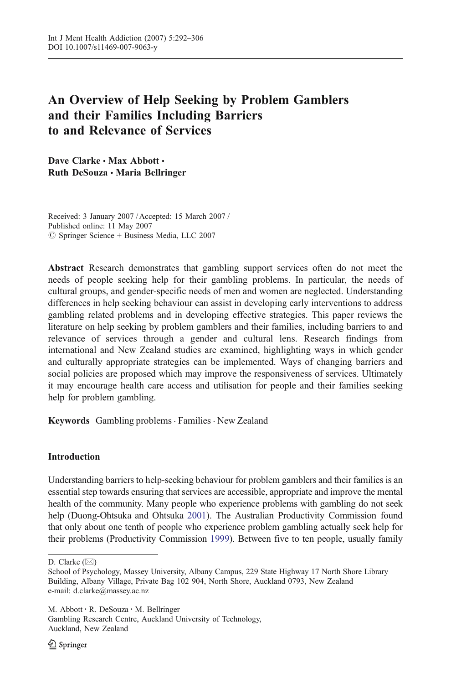# An Overview of Help Seeking by Problem Gamblers and their Families Including Barriers to and Relevance of Services

Dave Clarke . Max Abbott . Ruth DeSouza · Maria Bellringer

Received: 3 January 2007 / Accepted: 15 March 2007 / Published online: 11 May 2007  $\circledcirc$  Springer Science + Business Media, LLC 2007

Abstract Research demonstrates that gambling support services often do not meet the needs of people seeking help for their gambling problems. In particular, the needs of cultural groups, and gender-specific needs of men and women are neglected. Understanding differences in help seeking behaviour can assist in developing early interventions to address gambling related problems and in developing effective strategies. This paper reviews the literature on help seeking by problem gamblers and their families, including barriers to and relevance of services through a gender and cultural lens. Research findings from international and New Zealand studies are examined, highlighting ways in which gender and culturally appropriate strategies can be implemented. Ways of changing barriers and social policies are proposed which may improve the responsiveness of services. Ultimately it may encourage health care access and utilisation for people and their families seeking help for problem gambling.

Keywords Gambling problems . Families . New Zealand

# Introduction

Understanding barriers to help-seeking behaviour for problem gamblers and their families is an essential step towards ensuring that services are accessible, appropriate and improve the mental health of the community. Many people who experience problems with gambling do not seek help (Duong-Ohtsuka and Ohtsuka [2001](#page-13-0)). The Australian Productivity Commission found that only about one tenth of people who experience problem gambling actually seek help for their problems (Productivity Commission [1999\)](#page-14-0). Between five to ten people, usually family

Gambling Research Centre, Auckland University of Technology, Auckland, New Zealand

D. Clarke  $(\boxtimes)$ 

School of Psychology, Massey University, Albany Campus, 229 State Highway 17 North Shore Library Building, Albany Village, Private Bag 102 904, North Shore, Auckland 0793, New Zealand e-mail: d.clarke@massey.ac.nz

M. Abbott : R. DeSouza : M. Bellringer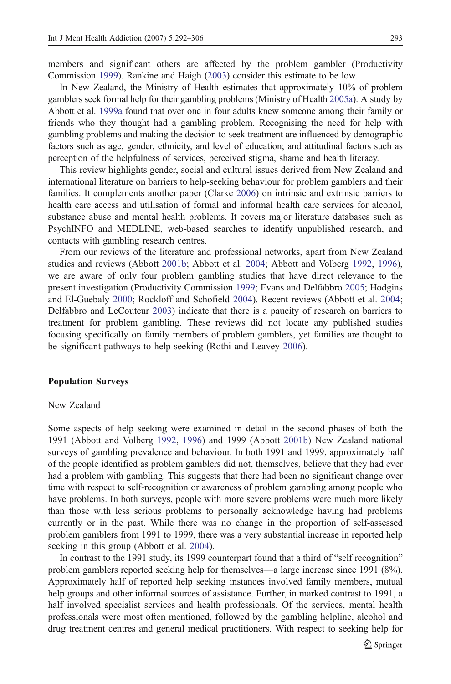members and significant others are affected by the problem gambler (Productivity Commission [1999](#page-14-0)). Rankine and Haigh [\(2003\)](#page-14-0) consider this estimate to be low.

In New Zealand, the Ministry of Health estimates that approximately 10% of problem gamblers seek formal help for their gambling problems (Ministry of Health [2005a\)](#page-13-0). A study by Abbott et al. [1999a](#page-12-0) found that over one in four adults knew someone among their family or friends who they thought had a gambling problem. Recognising the need for help with gambling problems and making the decision to seek treatment are influenced by demographic factors such as age, gender, ethnicity, and level of education; and attitudinal factors such as perception of the helpfulness of services, perceived stigma, shame and health literacy.

This review highlights gender, social and cultural issues derived from New Zealand and international literature on barriers to help-seeking behaviour for problem gamblers and their families. It complements another paper (Clarke [2006](#page-12-0)) on intrinsic and extrinsic barriers to health care access and utilisation of formal and informal health care services for alcohol, substance abuse and mental health problems. It covers major literature databases such as PsychINFO and MEDLINE, web-based searches to identify unpublished research, and contacts with gambling research centres.

From our reviews of the literature and professional networks, apart from New Zealand studies and reviews (Abbott [2001b;](#page-11-0) Abbott et al. [2004](#page-12-0); Abbott and Volberg [1992,](#page-12-0) [1996](#page-12-0)), we are aware of only four problem gambling studies that have direct relevance to the present investigation (Productivity Commission [1999;](#page-14-0) Evans and Delfabbro [2005](#page-13-0); Hodgins and El-Guebaly [2000;](#page-13-0) Rockloff and Schofield [2004](#page-14-0)). Recent reviews (Abbott et al. [2004](#page-12-0); Delfabbro and LeCouteur [2003\)](#page-12-0) indicate that there is a paucity of research on barriers to treatment for problem gambling. These reviews did not locate any published studies focusing specifically on family members of problem gamblers, yet families are thought to be significant pathways to help-seeking (Rothi and Leavey [2006\)](#page-14-0).

## Population Surveys

## New Zealand

Some aspects of help seeking were examined in detail in the second phases of both the 1991 (Abbott and Volberg [1992,](#page-12-0) [1996\)](#page-12-0) and 1999 (Abbott [2001b](#page-11-0)) New Zealand national surveys of gambling prevalence and behaviour. In both 1991 and 1999, approximately half of the people identified as problem gamblers did not, themselves, believe that they had ever had a problem with gambling. This suggests that there had been no significant change over time with respect to self-recognition or awareness of problem gambling among people who have problems. In both surveys, people with more severe problems were much more likely than those with less serious problems to personally acknowledge having had problems currently or in the past. While there was no change in the proportion of self-assessed problem gamblers from 1991 to 1999, there was a very substantial increase in reported help seeking in this group (Abbott et al. [2004\)](#page-12-0).

In contrast to the 1991 study, its 1999 counterpart found that a third of "self recognition" problem gamblers reported seeking help for themselves—a large increase since 1991 (8%). Approximately half of reported help seeking instances involved family members, mutual help groups and other informal sources of assistance. Further, in marked contrast to 1991, a half involved specialist services and health professionals. Of the services, mental health professionals were most often mentioned, followed by the gambling helpline, alcohol and drug treatment centres and general medical practitioners. With respect to seeking help for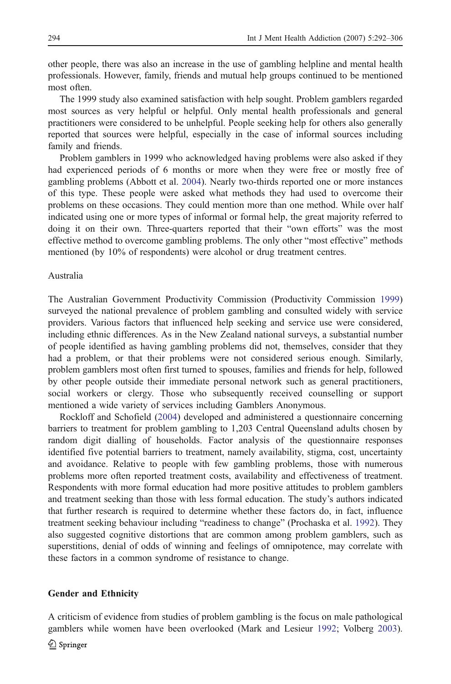other people, there was also an increase in the use of gambling helpline and mental health professionals. However, family, friends and mutual help groups continued to be mentioned most often.

The 1999 study also examined satisfaction with help sought. Problem gamblers regarded most sources as very helpful or helpful. Only mental health professionals and general practitioners were considered to be unhelpful. People seeking help for others also generally reported that sources were helpful, especially in the case of informal sources including family and friends.

Problem gamblers in 1999 who acknowledged having problems were also asked if they had experienced periods of 6 months or more when they were free or mostly free of gambling problems (Abbott et al. [2004](#page-12-0)). Nearly two-thirds reported one or more instances of this type. These people were asked what methods they had used to overcome their problems on these occasions. They could mention more than one method. While over half indicated using one or more types of informal or formal help, the great majority referred to doing it on their own. Three-quarters reported that their "own efforts" was the most effective method to overcome gambling problems. The only other "most effective" methods mentioned (by 10% of respondents) were alcohol or drug treatment centres.

#### Australia

The Australian Government Productivity Commission (Productivity Commission [1999\)](#page-14-0) surveyed the national prevalence of problem gambling and consulted widely with service providers. Various factors that influenced help seeking and service use were considered, including ethnic differences. As in the New Zealand national surveys, a substantial number of people identified as having gambling problems did not, themselves, consider that they had a problem, or that their problems were not considered serious enough. Similarly, problem gamblers most often first turned to spouses, families and friends for help, followed by other people outside their immediate personal network such as general practitioners, social workers or clergy. Those who subsequently received counselling or support mentioned a wide variety of services including Gamblers Anonymous.

Rockloff and Schofield ([2004\)](#page-14-0) developed and administered a questionnaire concerning barriers to treatment for problem gambling to 1,203 Central Queensland adults chosen by random digit dialling of households. Factor analysis of the questionnaire responses identified five potential barriers to treatment, namely availability, stigma, cost, uncertainty and avoidance. Relative to people with few gambling problems, those with numerous problems more often reported treatment costs, availability and effectiveness of treatment. Respondents with more formal education had more positive attitudes to problem gamblers and treatment seeking than those with less formal education. The study's authors indicated that further research is required to determine whether these factors do, in fact, influence treatment seeking behaviour including "readiness to change" (Prochaska et al. [1992](#page-14-0)). They also suggested cognitive distortions that are common among problem gamblers, such as superstitions, denial of odds of winning and feelings of omnipotence, may correlate with these factors in a common syndrome of resistance to change.

### Gender and Ethnicity

A criticism of evidence from studies of problem gambling is the focus on male pathological gamblers while women have been overlooked (Mark and Lesieur [1992](#page-13-0); Volberg [2003](#page-14-0)).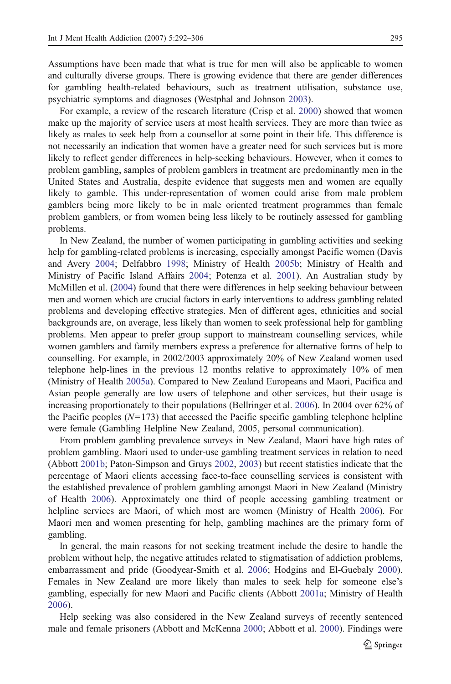Assumptions have been made that what is true for men will also be applicable to women and culturally diverse groups. There is growing evidence that there are gender differences for gambling health-related behaviours, such as treatment utilisation, substance use, psychiatric symptoms and diagnoses (Westphal and Johnson [2003](#page-14-0)).

For example, a review of the research literature (Crisp et al. [2000\)](#page-12-0) showed that women make up the majority of service users at most health services. They are more than twice as likely as males to seek help from a counsellor at some point in their life. This difference is not necessarily an indication that women have a greater need for such services but is more likely to reflect gender differences in help-seeking behaviours. However, when it comes to problem gambling, samples of problem gamblers in treatment are predominantly men in the United States and Australia, despite evidence that suggests men and women are equally likely to gamble. This under-representation of women could arise from male problem gamblers being more likely to be in male oriented treatment programmes than female problem gamblers, or from women being less likely to be routinely assessed for gambling problems.

In New Zealand, the number of women participating in gambling activities and seeking help for gambling-related problems is increasing, especially amongst Pacific women (Davis and Avery [2004;](#page-12-0) Delfabbro [1998](#page-12-0); Ministry of Health [2005b;](#page-13-0) Ministry of Health and Ministry of Pacific Island Affairs [2004](#page-13-0); Potenza et al. [2001\)](#page-14-0). An Australian study by McMillen et al. ([2004](#page-13-0)) found that there were differences in help seeking behaviour between men and women which are crucial factors in early interventions to address gambling related problems and developing effective strategies. Men of different ages, ethnicities and social backgrounds are, on average, less likely than women to seek professional help for gambling problems. Men appear to prefer group support to mainstream counselling services, while women gamblers and family members express a preference for alternative forms of help to counselling. For example, in 2002/2003 approximately 20% of New Zealand women used telephone help-lines in the previous 12 months relative to approximately 10% of men (Ministry of Health [2005a](#page-13-0)). Compared to New Zealand Europeans and Maori, Pacifica and Asian people generally are low users of telephone and other services, but their usage is increasing proportionately to their populations (Bellringer et al. [2006](#page-12-0)). In 2004 over 62% of the Pacific peoples  $(N=173)$  that accessed the Pacific specific gambling telephone helpline were female (Gambling Helpline New Zealand, 2005, personal communication).

From problem gambling prevalence surveys in New Zealand, Maori have high rates of problem gambling. Maori used to under-use gambling treatment services in relation to need (Abbott [2001b](#page-11-0); Paton-Simpson and Gruys [2002](#page-14-0), [2003\)](#page-14-0) but recent statistics indicate that the percentage of Maori clients accessing face-to-face counselling services is consistent with the established prevalence of problem gambling amongst Maori in New Zealand (Ministry of Health [2006](#page-13-0)). Approximately one third of people accessing gambling treatment or helpline services are Maori, of which most are women (Ministry of Health [2006\)](#page-13-0). For Maori men and women presenting for help, gambling machines are the primary form of gambling.

In general, the main reasons for not seeking treatment include the desire to handle the problem without help, the negative attitudes related to stigmatisation of addiction problems, embarrassment and pride (Goodyear-Smith et al. [2006;](#page-13-0) Hodgins and El-Guebaly [2000](#page-13-0)). Females in New Zealand are more likely than males to seek help for someone else's gambling, especially for new Maori and Pacific clients (Abbott [2001a;](#page-11-0) Ministry of Health [2006\)](#page-13-0).

Help seeking was also considered in the New Zealand surveys of recently sentenced male and female prisoners (Abbott and McKenna [2000](#page-11-0); Abbott et al. [2000\)](#page-12-0). Findings were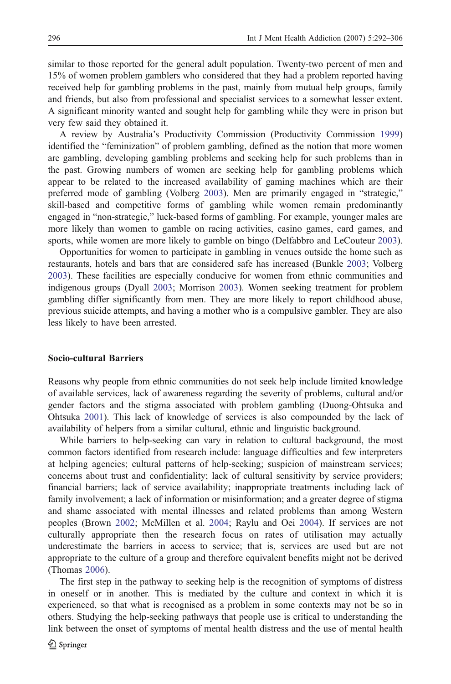similar to those reported for the general adult population. Twenty-two percent of men and 15% of women problem gamblers who considered that they had a problem reported having received help for gambling problems in the past, mainly from mutual help groups, family and friends, but also from professional and specialist services to a somewhat lesser extent. A significant minority wanted and sought help for gambling while they were in prison but very few said they obtained it.

A review by Australia's Productivity Commission (Productivity Commission [1999\)](#page-14-0) identified the "feminization" of problem gambling, defined as the notion that more women are gambling, developing gambling problems and seeking help for such problems than in the past. Growing numbers of women are seeking help for gambling problems which appear to be related to the increased availability of gaming machines which are their preferred mode of gambling (Volberg [2003\)](#page-14-0). Men are primarily engaged in "strategic," skill-based and competitive forms of gambling while women remain predominantly engaged in "non-strategic," luck-based forms of gambling. For example, younger males are more likely than women to gamble on racing activities, casino games, card games, and sports, while women are more likely to gamble on bingo (Delfabbro and LeCouteur [2003](#page-12-0)).

Opportunities for women to participate in gambling in venues outside the home such as restaurants, hotels and bars that are considered safe has increased (Bunkle [2003](#page-12-0); Volberg [2003\)](#page-14-0). These facilities are especially conducive for women from ethnic communities and indigenous groups (Dyall [2003](#page-13-0); Morrison [2003](#page-13-0)). Women seeking treatment for problem gambling differ significantly from men. They are more likely to report childhood abuse, previous suicide attempts, and having a mother who is a compulsive gambler. They are also less likely to have been arrested.

## Socio-cultural Barriers

Reasons why people from ethnic communities do not seek help include limited knowledge of available services, lack of awareness regarding the severity of problems, cultural and/or gender factors and the stigma associated with problem gambling (Duong-Ohtsuka and Ohtsuka [2001](#page-13-0)). This lack of knowledge of services is also compounded by the lack of availability of helpers from a similar cultural, ethnic and linguistic background.

While barriers to help-seeking can vary in relation to cultural background, the most common factors identified from research include: language difficulties and few interpreters at helping agencies; cultural patterns of help-seeking; suspicion of mainstream services; concerns about trust and confidentiality; lack of cultural sensitivity by service providers; financial barriers; lack of service availability; inappropriate treatments including lack of family involvement; a lack of information or misinformation; and a greater degree of stigma and shame associated with mental illnesses and related problems than among Western peoples (Brown [2002](#page-12-0); McMillen et al. [2004;](#page-13-0) Raylu and Oei [2004\)](#page-14-0). If services are not culturally appropriate then the research focus on rates of utilisation may actually underestimate the barriers in access to service; that is, services are used but are not appropriate to the culture of a group and therefore equivalent benefits might not be derived (Thomas [2006](#page-14-0)).

The first step in the pathway to seeking help is the recognition of symptoms of distress in oneself or in another. This is mediated by the culture and context in which it is experienced, so that what is recognised as a problem in some contexts may not be so in others. Studying the help-seeking pathways that people use is critical to understanding the link between the onset of symptoms of mental health distress and the use of mental health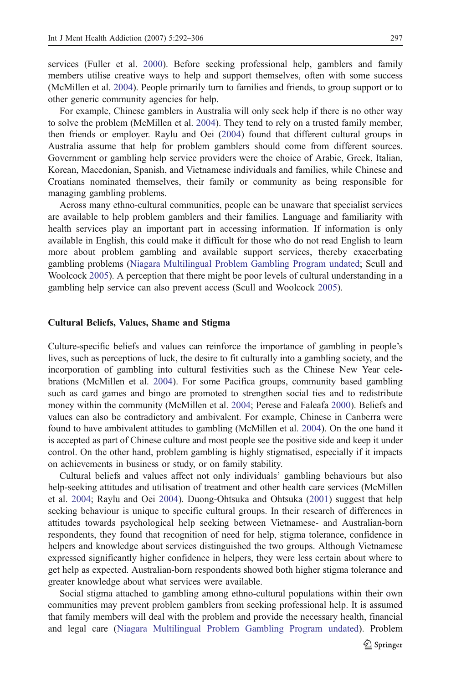services (Fuller et al. [2000\)](#page-13-0). Before seeking professional help, gamblers and family members utilise creative ways to help and support themselves, often with some success (McMillen et al. [2004\)](#page-13-0). People primarily turn to families and friends, to group support or to other generic community agencies for help.

For example, Chinese gamblers in Australia will only seek help if there is no other way to solve the problem (McMillen et al. [2004](#page-13-0)). They tend to rely on a trusted family member, then friends or employer. Raylu and Oei [\(2004\)](#page-14-0) found that different cultural groups in Australia assume that help for problem gamblers should come from different sources. Government or gambling help service providers were the choice of Arabic, Greek, Italian, Korean, Macedonian, Spanish, and Vietnamese individuals and families, while Chinese and Croatians nominated themselves, their family or community as being responsible for managing gambling problems.

Across many ethno-cultural communities, people can be unaware that specialist services are available to help problem gamblers and their families. Language and familiarity with health services play an important part in accessing information. If information is only available in English, this could make it difficult for those who do not read English to learn more about problem gambling and available support services, thereby exacerbating gambling problems ([Niagara Multilingual Problem Gambling Program undated;](#page-14-0) Scull and Woolcock [2005](#page-14-0)). A perception that there might be poor levels of cultural understanding in a gambling help service can also prevent access (Scull and Woolcock [2005\)](#page-14-0).

#### Cultural Beliefs, Values, Shame and Stigma

Culture-specific beliefs and values can reinforce the importance of gambling in people's lives, such as perceptions of luck, the desire to fit culturally into a gambling society, and the incorporation of gambling into cultural festivities such as the Chinese New Year celebrations (McMillen et al. [2004](#page-13-0)). For some Pacifica groups, community based gambling such as card games and bingo are promoted to strengthen social ties and to redistribute money within the community (McMillen et al. [2004](#page-13-0); Perese and Faleafa [2000\)](#page-14-0). Beliefs and values can also be contradictory and ambivalent. For example, Chinese in Canberra were found to have ambivalent attitudes to gambling (McMillen et al. [2004](#page-13-0)). On the one hand it is accepted as part of Chinese culture and most people see the positive side and keep it under control. On the other hand, problem gambling is highly stigmatised, especially if it impacts on achievements in business or study, or on family stability.

Cultural beliefs and values affect not only individuals' gambling behaviours but also help-seeking attitudes and utilisation of treatment and other health care services (McMillen et al. [2004;](#page-13-0) Raylu and Oei [2004\)](#page-14-0). Duong-Ohtsuka and Ohtsuka ([2001\)](#page-13-0) suggest that help seeking behaviour is unique to specific cultural groups. In their research of differences in attitudes towards psychological help seeking between Vietnamese- and Australian-born respondents, they found that recognition of need for help, stigma tolerance, confidence in helpers and knowledge about services distinguished the two groups. Although Vietnamese expressed significantly higher confidence in helpers, they were less certain about where to get help as expected. Australian-born respondents showed both higher stigma tolerance and greater knowledge about what services were available.

Social stigma attached to gambling among ethno-cultural populations within their own communities may prevent problem gamblers from seeking professional help. It is assumed that family members will deal with the problem and provide the necessary health, financial and legal care ([Niagara Multilingual Problem Gambling Program undated\)](#page-14-0). Problem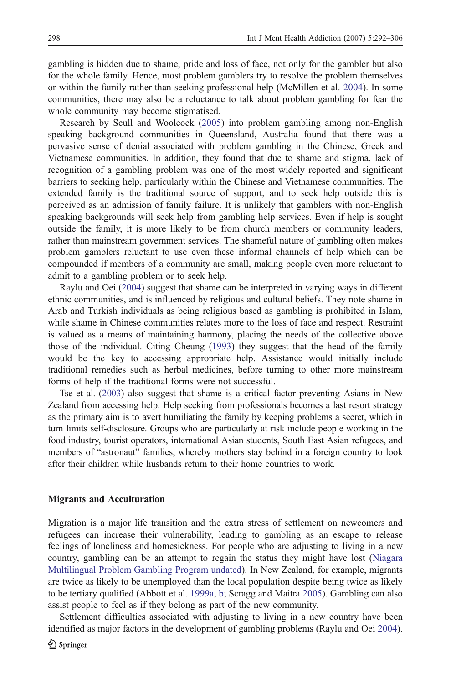gambling is hidden due to shame, pride and loss of face, not only for the gambler but also for the whole family. Hence, most problem gamblers try to resolve the problem themselves or within the family rather than seeking professional help (McMillen et al. [2004\)](#page-13-0). In some communities, there may also be a reluctance to talk about problem gambling for fear the whole community may become stigmatised.

Research by Scull and Woolcock ([2005\)](#page-14-0) into problem gambling among non-English speaking background communities in Queensland, Australia found that there was a pervasive sense of denial associated with problem gambling in the Chinese, Greek and Vietnamese communities. In addition, they found that due to shame and stigma, lack of recognition of a gambling problem was one of the most widely reported and significant barriers to seeking help, particularly within the Chinese and Vietnamese communities. The extended family is the traditional source of support, and to seek help outside this is perceived as an admission of family failure. It is unlikely that gamblers with non-English speaking backgrounds will seek help from gambling help services. Even if help is sought outside the family, it is more likely to be from church members or community leaders, rather than mainstream government services. The shameful nature of gambling often makes problem gamblers reluctant to use even these informal channels of help which can be compounded if members of a community are small, making people even more reluctant to admit to a gambling problem or to seek help.

Raylu and Oei ([2004\)](#page-14-0) suggest that shame can be interpreted in varying ways in different ethnic communities, and is influenced by religious and cultural beliefs. They note shame in Arab and Turkish individuals as being religious based as gambling is prohibited in Islam, while shame in Chinese communities relates more to the loss of face and respect. Restraint is valued as a means of maintaining harmony, placing the needs of the collective above those of the individual. Citing Cheung ([1993\)](#page-12-0) they suggest that the head of the family would be the key to accessing appropriate help. Assistance would initially include traditional remedies such as herbal medicines, before turning to other more mainstream forms of help if the traditional forms were not successful.

Tse et al. [\(2003\)](#page-14-0) also suggest that shame is a critical factor preventing Asians in New Zealand from accessing help. Help seeking from professionals becomes a last resort strategy as the primary aim is to avert humiliating the family by keeping problems a secret, which in turn limits self-disclosure. Groups who are particularly at risk include people working in the food industry, tourist operators, international Asian students, South East Asian refugees, and members of "astronaut" families, whereby mothers stay behind in a foreign country to look after their children while husbands return to their home countries to work.

#### Migrants and Acculturation

Migration is a major life transition and the extra stress of settlement on newcomers and refugees can increase their vulnerability, leading to gambling as an escape to release feelings of loneliness and homesickness. For people who are adjusting to living in a new country, gambling can be an attempt to regain the status they might have lost [\(Niagara](#page-14-0) [Multilingual Problem Gambling Program undated\)](#page-14-0). In New Zealand, for example, migrants are twice as likely to be unemployed than the local population despite being twice as likely to be tertiary qualified (Abbott et al. [1999a](#page-12-0), [b](#page-12-0); Scragg and Maitra [2005](#page-14-0)). Gambling can also assist people to feel as if they belong as part of the new community.

Settlement difficulties associated with adjusting to living in a new country have been identified as major factors in the development of gambling problems (Raylu and Oei [2004](#page-14-0)).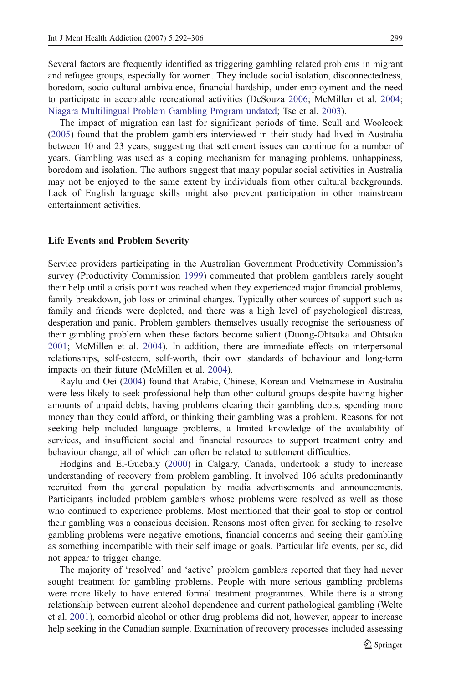Several factors are frequently identified as triggering gambling related problems in migrant and refugee groups, especially for women. They include social isolation, disconnectedness, boredom, socio-cultural ambivalence, financial hardship, under-employment and the need to participate in acceptable recreational activities (DeSouza [2006](#page-12-0); McMillen et al. [2004](#page-13-0); [Niagara Multilingual Problem Gambling Program undated](#page-14-0); Tse et al. [2003\)](#page-14-0).

The impact of migration can last for significant periods of time. Scull and Woolcock ([2005\)](#page-14-0) found that the problem gamblers interviewed in their study had lived in Australia between 10 and 23 years, suggesting that settlement issues can continue for a number of years. Gambling was used as a coping mechanism for managing problems, unhappiness, boredom and isolation. The authors suggest that many popular social activities in Australia may not be enjoyed to the same extent by individuals from other cultural backgrounds. Lack of English language skills might also prevent participation in other mainstream entertainment activities.

#### Life Events and Problem Severity

Service providers participating in the Australian Government Productivity Commission's survey (Productivity Commission [1999](#page-14-0)) commented that problem gamblers rarely sought their help until a crisis point was reached when they experienced major financial problems, family breakdown, job loss or criminal charges. Typically other sources of support such as family and friends were depleted, and there was a high level of psychological distress, desperation and panic. Problem gamblers themselves usually recognise the seriousness of their gambling problem when these factors become salient (Duong-Ohtsuka and Ohtsuka [2001;](#page-13-0) McMillen et al. [2004](#page-13-0)). In addition, there are immediate effects on interpersonal relationships, self-esteem, self-worth, their own standards of behaviour and long-term impacts on their future (McMillen et al. [2004\)](#page-13-0).

Raylu and Oei [\(2004\)](#page-14-0) found that Arabic, Chinese, Korean and Vietnamese in Australia were less likely to seek professional help than other cultural groups despite having higher amounts of unpaid debts, having problems clearing their gambling debts, spending more money than they could afford, or thinking their gambling was a problem. Reasons for not seeking help included language problems, a limited knowledge of the availability of services, and insufficient social and financial resources to support treatment entry and behaviour change, all of which can often be related to settlement difficulties.

Hodgins and El-Guebaly ([2000\)](#page-13-0) in Calgary, Canada, undertook a study to increase understanding of recovery from problem gambling. It involved 106 adults predominantly recruited from the general population by media advertisements and announcements. Participants included problem gamblers whose problems were resolved as well as those who continued to experience problems. Most mentioned that their goal to stop or control their gambling was a conscious decision. Reasons most often given for seeking to resolve gambling problems were negative emotions, financial concerns and seeing their gambling as something incompatible with their self image or goals. Particular life events, per se, did not appear to trigger change.

The majority of 'resolved' and 'active' problem gamblers reported that they had never sought treatment for gambling problems. People with more serious gambling problems were more likely to have entered formal treatment programmes. While there is a strong relationship between current alcohol dependence and current pathological gambling (Welte et al. [2001](#page-14-0)), comorbid alcohol or other drug problems did not, however, appear to increase help seeking in the Canadian sample. Examination of recovery processes included assessing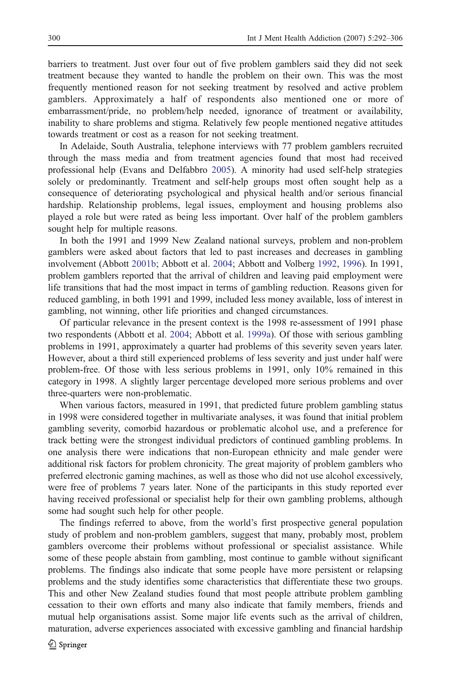barriers to treatment. Just over four out of five problem gamblers said they did not seek treatment because they wanted to handle the problem on their own. This was the most frequently mentioned reason for not seeking treatment by resolved and active problem gamblers. Approximately a half of respondents also mentioned one or more of embarrassment/pride, no problem/help needed, ignorance of treatment or availability, inability to share problems and stigma. Relatively few people mentioned negative attitudes towards treatment or cost as a reason for not seeking treatment.

In Adelaide, South Australia, telephone interviews with 77 problem gamblers recruited through the mass media and from treatment agencies found that most had received professional help (Evans and Delfabbro [2005](#page-13-0)). A minority had used self-help strategies solely or predominantly. Treatment and self-help groups most often sought help as a consequence of deteriorating psychological and physical health and/or serious financial hardship. Relationship problems, legal issues, employment and housing problems also played a role but were rated as being less important. Over half of the problem gamblers sought help for multiple reasons.

In both the 1991 and 1999 New Zealand national surveys, problem and non-problem gamblers were asked about factors that led to past increases and decreases in gambling involvement (Abbott [2001b](#page-11-0); Abbott et al. [2004;](#page-12-0) Abbott and Volberg [1992](#page-12-0), [1996\)](#page-12-0). In 1991, problem gamblers reported that the arrival of children and leaving paid employment were life transitions that had the most impact in terms of gambling reduction. Reasons given for reduced gambling, in both 1991 and 1999, included less money available, loss of interest in gambling, not winning, other life priorities and changed circumstances.

Of particular relevance in the present context is the 1998 re-assessment of 1991 phase two respondents (Abbott et al. [2004](#page-12-0); Abbott et al. [1999a\)](#page-12-0). Of those with serious gambling problems in 1991, approximately a quarter had problems of this severity seven years later. However, about a third still experienced problems of less severity and just under half were problem-free. Of those with less serious problems in 1991, only 10% remained in this category in 1998. A slightly larger percentage developed more serious problems and over three-quarters were non-problematic.

When various factors, measured in 1991, that predicted future problem gambling status in 1998 were considered together in multivariate analyses, it was found that initial problem gambling severity, comorbid hazardous or problematic alcohol use, and a preference for track betting were the strongest individual predictors of continued gambling problems. In one analysis there were indications that non-European ethnicity and male gender were additional risk factors for problem chronicity. The great majority of problem gamblers who preferred electronic gaming machines, as well as those who did not use alcohol excessively, were free of problems 7 years later. None of the participants in this study reported ever having received professional or specialist help for their own gambling problems, although some had sought such help for other people.

The findings referred to above, from the world's first prospective general population study of problem and non-problem gamblers, suggest that many, probably most, problem gamblers overcome their problems without professional or specialist assistance. While some of these people abstain from gambling, most continue to gamble without significant problems. The findings also indicate that some people have more persistent or relapsing problems and the study identifies some characteristics that differentiate these two groups. This and other New Zealand studies found that most people attribute problem gambling cessation to their own efforts and many also indicate that family members, friends and mutual help organisations assist. Some major life events such as the arrival of children, maturation, adverse experiences associated with excessive gambling and financial hardship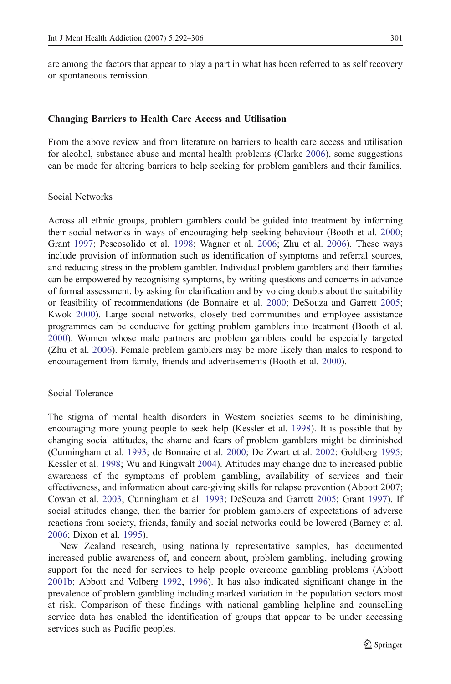are among the factors that appear to play a part in what has been referred to as self recovery or spontaneous remission.

#### Changing Barriers to Health Care Access and Utilisation

From the above review and from literature on barriers to health care access and utilisation for alcohol, substance abuse and mental health problems (Clarke [2006](#page-12-0)), some suggestions can be made for altering barriers to help seeking for problem gamblers and their families.

## Social Networks

Across all ethnic groups, problem gamblers could be guided into treatment by informing their social networks in ways of encouraging help seeking behaviour (Booth et al. [2000](#page-12-0); Grant [1997;](#page-13-0) Pescosolido et al. [1998](#page-14-0); Wagner et al. [2006;](#page-14-0) Zhu et al. [2006\)](#page-14-0). These ways include provision of information such as identification of symptoms and referral sources, and reducing stress in the problem gambler. Individual problem gamblers and their families can be empowered by recognising symptoms, by writing questions and concerns in advance of formal assessment, by asking for clarification and by voicing doubts about the suitability or feasibility of recommendations (de Bonnaire et al. [2000;](#page-12-0) DeSouza and Garrett [2005](#page-12-0); Kwok [2000\)](#page-13-0). Large social networks, closely tied communities and employee assistance programmes can be conducive for getting problem gamblers into treatment (Booth et al. [2000\)](#page-12-0). Women whose male partners are problem gamblers could be especially targeted (Zhu et al. [2006](#page-14-0)). Female problem gamblers may be more likely than males to respond to encouragement from family, friends and advertisements (Booth et al. [2000\)](#page-12-0).

# Social Tolerance

The stigma of mental health disorders in Western societies seems to be diminishing, encouraging more young people to seek help (Kessler et al. [1998](#page-13-0)). It is possible that by changing social attitudes, the shame and fears of problem gamblers might be diminished (Cunningham et al. [1993;](#page-12-0) de Bonnaire et al. [2000;](#page-12-0) De Zwart et al. [2002;](#page-12-0) Goldberg [1995](#page-13-0); Kessler et al. [1998;](#page-13-0) Wu and Ringwalt [2004](#page-14-0)). Attitudes may change due to increased public awareness of the symptoms of problem gambling, availability of services and their effectiveness, and information about care-giving skills for relapse prevention (Abbott 2007; Cowan et al. [2003;](#page-12-0) Cunningham et al. [1993;](#page-12-0) DeSouza and Garrett [2005;](#page-12-0) Grant [1997\)](#page-13-0). If social attitudes change, then the barrier for problem gamblers of expectations of adverse reactions from society, friends, family and social networks could be lowered (Barney et al. [2006;](#page-12-0) Dixon et al. [1995\)](#page-12-0).

New Zealand research, using nationally representative samples, has documented increased public awareness of, and concern about, problem gambling, including growing support for the need for services to help people overcome gambling problems (Abbott [2001b](#page-11-0); Abbott and Volberg [1992](#page-12-0), [1996\)](#page-12-0). It has also indicated significant change in the prevalence of problem gambling including marked variation in the population sectors most at risk. Comparison of these findings with national gambling helpline and counselling service data has enabled the identification of groups that appear to be under accessing services such as Pacific peoples.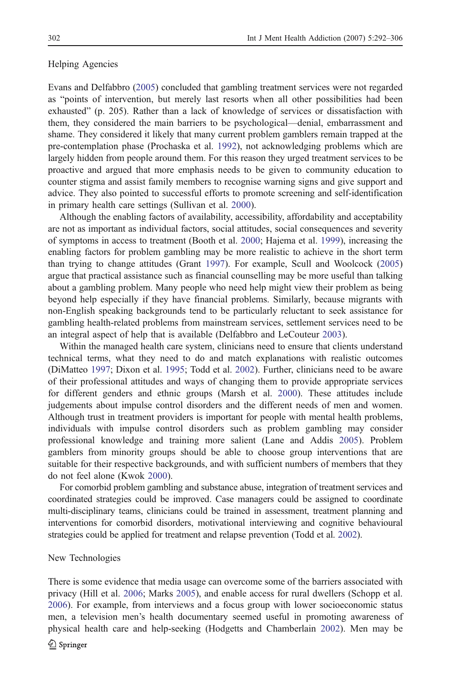# Helping Agencies

Evans and Delfabbro ([2005](#page-13-0)) concluded that gambling treatment services were not regarded as "points of intervention, but merely last resorts when all other possibilities had been exhausted" (p. 205). Rather than a lack of knowledge of services or dissatisfaction with them, they considered the main barriers to be psychological—denial, embarrassment and shame. They considered it likely that many current problem gamblers remain trapped at the pre-contemplation phase (Prochaska et al. [1992\)](#page-14-0), not acknowledging problems which are largely hidden from people around them. For this reason they urged treatment services to be proactive and argued that more emphasis needs to be given to community education to counter stigma and assist family members to recognise warning signs and give support and advice. They also pointed to successful efforts to promote screening and self-identification in primary health care settings (Sullivan et al. [2000\)](#page-14-0).

Although the enabling factors of availability, accessibility, affordability and acceptability are not as important as individual factors, social attitudes, social consequences and severity of symptoms in access to treatment (Booth et al. [2000;](#page-12-0) Hajema et al. [1999\)](#page-13-0), increasing the enabling factors for problem gambling may be more realistic to achieve in the short term than trying to change attitudes (Grant [1997](#page-13-0)). For example, Scull and Woolcock ([2005\)](#page-14-0) argue that practical assistance such as financial counselling may be more useful than talking about a gambling problem. Many people who need help might view their problem as being beyond help especially if they have financial problems. Similarly, because migrants with non-English speaking backgrounds tend to be particularly reluctant to seek assistance for gambling health-related problems from mainstream services, settlement services need to be an integral aspect of help that is available (Delfabbro and LeCouteur [2003](#page-12-0)).

Within the managed health care system, clinicians need to ensure that clients understand technical terms, what they need to do and match explanations with realistic outcomes (DiMatteo [1997;](#page-12-0) Dixon et al. [1995](#page-12-0); Todd et al. [2002](#page-14-0)). Further, clinicians need to be aware of their professional attitudes and ways of changing them to provide appropriate services for different genders and ethnic groups (Marsh et al. [2000\)](#page-13-0). These attitudes include judgements about impulse control disorders and the different needs of men and women. Although trust in treatment providers is important for people with mental health problems, individuals with impulse control disorders such as problem gambling may consider professional knowledge and training more salient (Lane and Addis [2005\)](#page-13-0). Problem gamblers from minority groups should be able to choose group interventions that are suitable for their respective backgrounds, and with sufficient numbers of members that they do not feel alone (Kwok [2000](#page-13-0)).

For comorbid problem gambling and substance abuse, integration of treatment services and coordinated strategies could be improved. Case managers could be assigned to coordinate multi-disciplinary teams, clinicians could be trained in assessment, treatment planning and interventions for comorbid disorders, motivational interviewing and cognitive behavioural strategies could be applied for treatment and relapse prevention (Todd et al. [2002\)](#page-14-0).

#### New Technologies

There is some evidence that media usage can overcome some of the barriers associated with privacy (Hill et al. [2006](#page-13-0); Marks [2005\)](#page-13-0), and enable access for rural dwellers (Schopp et al. [2006\)](#page-14-0). For example, from interviews and a focus group with lower socioeconomic status men, a television men's health documentary seemed useful in promoting awareness of physical health care and help-seeking (Hodgetts and Chamberlain [2002](#page-13-0)). Men may be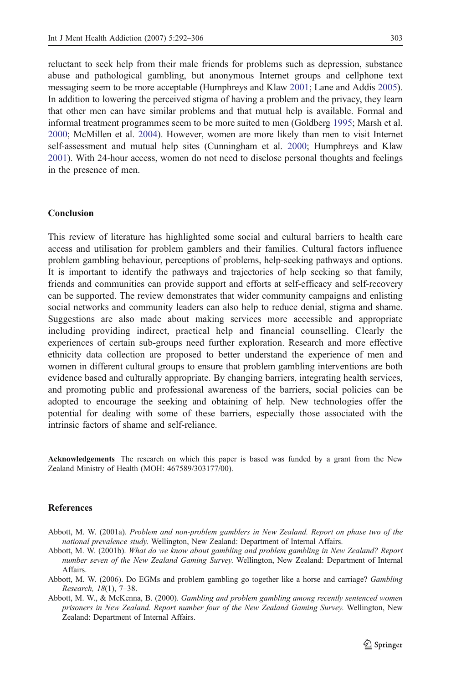<span id="page-11-0"></span>reluctant to seek help from their male friends for problems such as depression, substance abuse and pathological gambling, but anonymous Internet groups and cellphone text messaging seem to be more acceptable (Humphreys and Klaw [2001](#page-13-0); Lane and Addis [2005](#page-13-0)). In addition to lowering the perceived stigma of having a problem and the privacy, they learn that other men can have similar problems and that mutual help is available. Formal and informal treatment programmes seem to be more suited to men (Goldberg [1995](#page-13-0); Marsh et al. [2000;](#page-13-0) McMillen et al. [2004\)](#page-13-0). However, women are more likely than men to visit Internet self-assessment and mutual help sites (Cunningham et al. [2000;](#page-12-0) Humphreys and Klaw [2001\)](#page-13-0). With 24-hour access, women do not need to disclose personal thoughts and feelings in the presence of men.

# Conclusion

This review of literature has highlighted some social and cultural barriers to health care access and utilisation for problem gamblers and their families. Cultural factors influence problem gambling behaviour, perceptions of problems, help-seeking pathways and options. It is important to identify the pathways and trajectories of help seeking so that family, friends and communities can provide support and efforts at self-efficacy and self-recovery can be supported. The review demonstrates that wider community campaigns and enlisting social networks and community leaders can also help to reduce denial, stigma and shame. Suggestions are also made about making services more accessible and appropriate including providing indirect, practical help and financial counselling. Clearly the experiences of certain sub-groups need further exploration. Research and more effective ethnicity data collection are proposed to better understand the experience of men and women in different cultural groups to ensure that problem gambling interventions are both evidence based and culturally appropriate. By changing barriers, integrating health services, and promoting public and professional awareness of the barriers, social policies can be adopted to encourage the seeking and obtaining of help. New technologies offer the potential for dealing with some of these barriers, especially those associated with the intrinsic factors of shame and self-reliance.

Acknowledgements The research on which this paper is based was funded by a grant from the New Zealand Ministry of Health (MOH: 467589/303177/00).

#### **References**

- Abbott, M. W. (2001a). Problem and non-problem gamblers in New Zealand. Report on phase two of the national prevalence study. Wellington, New Zealand: Department of Internal Affairs.
- Abbott, M. W. (2001b). What do we know about gambling and problem gambling in New Zealand? Report number seven of the New Zealand Gaming Survey. Wellington, New Zealand: Department of Internal Affairs.
- Abbott, M. W. (2006). Do EGMs and problem gambling go together like a horse and carriage? Gambling Research, 18(1), 7–38.
- Abbott, M. W., & McKenna, B. (2000). Gambling and problem gambling among recently sentenced women prisoners in New Zealand. Report number four of the New Zealand Gaming Survey. Wellington, New Zealand: Department of Internal Affairs.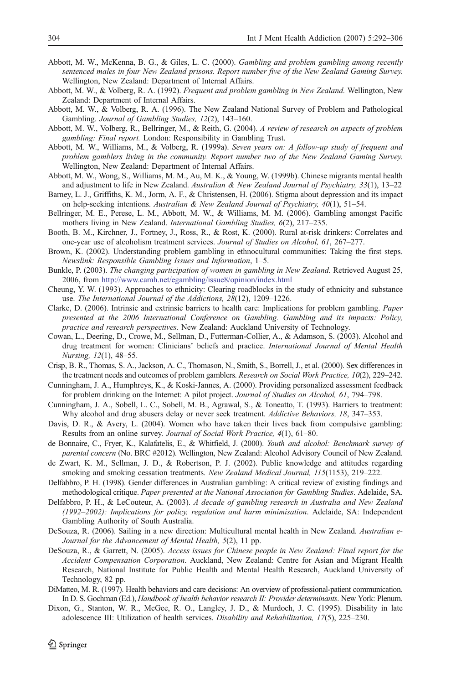- <span id="page-12-0"></span>Abbott, M. W., McKenna, B. G., & Giles, L. C. (2000). Gambling and problem gambling among recently sentenced males in four New Zealand prisons. Report number five of the New Zealand Gaming Survey. Wellington, New Zealand: Department of Internal Affairs.
- Abbott, M. W., & Volberg, R. A. (1992). Frequent and problem gambling in New Zealand. Wellington, New Zealand: Department of Internal Affairs.
- Abbott, M. W., & Volberg, R. A. (1996). The New Zealand National Survey of Problem and Pathological Gambling. Journal of Gambling Studies, 12(2), 143–160.
- Abbott, M. W., Volberg, R., Bellringer, M., & Reith, G. (2004). A review of research on aspects of problem gambling: Final report. London: Responsibility in Gambling Trust.
- Abbott, M. W., Williams, M., & Volberg, R. (1999a). Seven years on: A follow-up study of frequent and problem gamblers living in the community. Report number two of the New Zealand Gaming Survey. Wellington, New Zealand: Department of Internal Affairs.
- Abbott, M. W., Wong, S., Williams, M. M., Au, M. K., & Young, W. (1999b). Chinese migrants mental health and adjustment to life in New Zealand. Australian & New Zealand Journal of Psychiatry, 33(1), 13–22
- Barney, L. J., Griffiths, K. M., Jorm, A. F., & Christensen, H. (2006). Stigma about depression and its impact on help-seeking intentions. Australian & New Zealand Journal of Psychiatry,  $40(1)$ , 51–54.
- Bellringer, M. E., Perese, L. M., Abbott, M. W., & Williams, M. M. (2006). Gambling amongst Pacific mothers living in New Zealand. International Gambling Studies, 6(2), 217–235.
- Booth, B. M., Kirchner, J., Fortney, J., Ross, R., & Rost, K. (2000). Rural at-risk drinkers: Correlates and one-year use of alcoholism treatment services. Journal of Studies on Alcohol, 61, 267–277.
- Brown, K. (2002). Understanding problem gambling in ethnocultural communities: Taking the first steps. Newslink: Responsible Gambling Issues and Information, 1–5.
- Bunkle, P. (2003). The changing participation of women in gambling in New Zealand. Retrieved August 25, 2006, from <http://www.camh.net/egambling/issue8/opinion/index.html>
- Cheung, Y. W. (1993). Approaches to ethnicity: Clearing roadblocks in the study of ethnicity and substance use. The International Journal of the Addictions, 28(12), 1209–1226.
- Clarke, D. (2006). Intrinsic and extrinsic barriers to health care: Implications for problem gambling. Paper presented at the 2006 International Conference on Gambling. Gambling and its impacts: Policy, practice and research perspectives. New Zealand: Auckland University of Technology.
- Cowan, L., Deering, D., Crowe, M., Sellman, D., Futterman-Collier, A., & Adamson, S. (2003). Alcohol and drug treatment for women: Clinicians' beliefs and practice. International Journal of Mental Health Nursing, 12(1), 48–55.
- Crisp, B. R., Thomas, S. A., Jackson, A. C., Thomason, N., Smith, S., Borrell, J., et al. (2000). Sex differences in the treatment needs and outcomes of problem gamblers. Research on Social Work Practice, 10(2), 229–242.
- Cunningham, J. A., Humphreys, K., & Koski-Jannes, A. (2000). Providing personalized assessment feedback for problem drinking on the Internet: A pilot project. Journal of Studies on Alcohol, 61, 794–798.
- Cunningham, J. A., Sobell, L. C., Sobell, M. B., Agrawal, S., & Toneatto, T. (1993). Barriers to treatment: Why alcohol and drug abusers delay or never seek treatment. Addictive Behaviors, 18, 347–353.
- Davis, D. R., & Avery, L. (2004). Women who have taken their lives back from compulsive gambling: Results from an online survey. Journal of Social Work Practice, 4(1), 61–80.
- de Bonnaire, C., Fryer, K., Kalafatelis, E., & Whitfield, J. (2000). Youth and alcohol: Benchmark survey of parental concern (No. BRC #2012). Wellington, New Zealand: Alcohol Advisory Council of New Zealand.
- de Zwart, K. M., Sellman, J. D., & Robertson, P. J. (2002). Public knowledge and attitudes regarding smoking and smoking cessation treatments. New Zealand Medical Journal, 115(1153), 219–222.
- Delfabbro, P. H. (1998). Gender differences in Australian gambling: A critical review of existing findings and methodological critique. Paper presented at the National Association for Gambling Studies. Adelaide, SA.
- Delfabbro, P. H., & LeCouteur, A. (2003). A decade of gambling research in Australia and New Zealand (1992–2002): Implications for policy, regulation and harm minimisation. Adelaide, SA: Independent Gambling Authority of South Australia.
- DeSouza, R. (2006). Sailing in a new direction: Multicultural mental health in New Zealand. Australian e-Journal for the Advancement of Mental Health, 5(2), 11 pp.
- DeSouza, R., & Garrett, N. (2005). Access issues for Chinese people in New Zealand: Final report for the Accident Compensation Corporation. Auckland, New Zealand: Centre for Asian and Migrant Health Research, National Institute for Public Health and Mental Health Research, Auckland University of Technology, 82 pp.
- DiMatteo, M. R. (1997). Health behaviors and care decisions: An overview of professional-patient communication. In D. S. Gochman (Ed.), Handbook of health behavior research II: Provider determinants. New York: Plenum.
- Dixon, G., Stanton, W. R., McGee, R. O., Langley, J. D., & Murdoch, J. C. (1995). Disability in late adolescence III: Utilization of health services. Disability and Rehabilitation, 17(5), 225–230.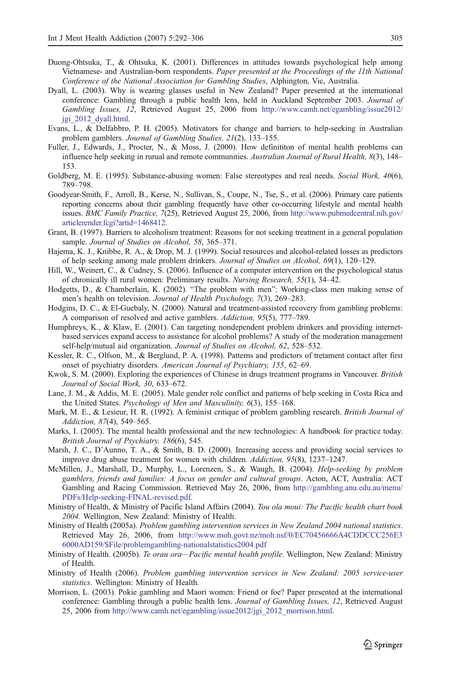- <span id="page-13-0"></span>Duong-Ohtsuka, T., & Ohtsuka, K. (2001). Differences in attitudes towards psychological help among Vietnamese- and Australian-born respondents. Paper presented at the Proceedings of the 11th National Conference of the National Association for Gambling Studies, Alphington, Vic, Australia.
- Dyall, L. (2003). Why is wearing glasses useful in New Zealand? Paper presented at the international conference: Gambling through a public health lens, held in Auckland September 2003. Journal of Gambling Issues, 12, Retrieved August 25, 2006 from [http://www.camh.net/egambling/issue2012/](http://www.camh.net/egambling/issue2012/jgi_2012_dyall.html) [jgi\\_2012\\_dyall.html.](http://www.camh.net/egambling/issue2012/jgi_2012_dyall.html)
- Evans, L., & Delfabbro, P. H. (2005). Motivators for change and barriers to help-seeking in Australian problem gamblers. Journal of Gambling Studies, 21(2), 133–155.
- Fuller, J., Edwards, J., Procter, N., & Moss, J. (2000). How definititon of mental health problems can influence help seeking in rurual and remote communities. Australian Journal of Rural Health, 8(3), 148– 153.
- Goldberg, M. E. (1995). Substance-abusing women: False stereotypes and real needs. Social Work, 40(6), 789–798.
- Goodyear-Smith, F., Arroll, B., Kerse, N., Sullivan, S., Coupe, N., Tse, S., et al. (2006). Primary care patients reporting concerns about their gambling frequently have other co-occurring lifestyle and mental health issues. BMC Family Practice, 7(25), Retrieved August 25, 2006, from [http://www.pubmedcentral.nih.gov/](http://www.pubmedcentral.nih.gov/articlerender.fcgi?artid=1468412) [articlerender.fcgi?artid=1468412](http://www.pubmedcentral.nih.gov/articlerender.fcgi?artid=1468412).
- Grant, B. (1997). Barriers to alcoholism treatment: Reasons for not seeking treatment in a general population sample. Journal of Studies on Alcohol, 58, 365-371.
- Hajema, K. J., Knibbe, R. A., & Drop, M. J. (1999). Social resources and alcohol-related losses as predictors of help seeking among male problem drinkers. Journal of Studies on Alcohol, 69(1), 120–129.
- Hill, W., Weinert, C., & Cudney, S. (2006). Influence of a computer intervention on the psychological status of chronically ill rural women: Preliminary results. Nursing Research, 55(1), 34–42.
- Hodgetts, D., & Chamberlain, K. (2002). "The problem with men": Working-class men making sense of men's health on television. Journal of Health Psychology, 7(3), 269–283.
- Hodgins, D. C., & El-Guebaly, N. (2000). Natural and treatment-assisted recovery from gambling problems: A comparison of resolved and active gamblers. Addiction, 95(5), 777–789.
- Humphreys, K., & Klaw, E. (2001). Can targeting nondependent problem drinkers and providing internetbased services expand access to assistance for alcohol problems? A study of the moderation management self-help/mutual aid organization. Journal of Studies on Alcohol, 62, 528–532.
- Kessler, R. C., Olfson, M., & Berglund, P. A. (1998). Patterns and predictors of tretament contact after first onset of psychiatry disorders. American Journal of Psychiatry, 155, 62–69.
- Kwok, S. M. (2000). Exploring the experiences of Chinese in drugs treatment programs in Vancouver. British Journal of Social Work, 30, 633–672.
- Lane, J. M., & Addis, M. E. (2005). Male gender role conflict and patterns of help seeking in Costa Rica and the United States. Psychology of Men and Masculinity, 6(3), 155–168.
- Mark, M. E., & Lesieur, H. R. (1992). A feminist critique of problem gambling research. British Journal of Addiction, 87(4), 549–565.
- Marks, I. (2005). The mental health professional and the new technologies: A handbook for practice today. British Journal of Psychiatry, 186(6), 545.
- Marsh, J. C., D'Aunno, T. A., & Smith, B. D. (2000). Increasing access and providing social services to improve drug abuse treatment for women with children. Addiction, 95(8), 1237–1247.
- McMillen, J., Marshall, D., Murphy, L., Lorenzen, S., & Waugh, B. (2004). Help-seeking by problem gamblers, friends and families: A focus on gender and cultural groups. Acton, ACT, Australia: ACT Gambling and Racing Commission. Retrieved May 26, 2006, from [http://gambling.anu.edu.au/menu/](http://gambling.anu.edu.au/menu/PDFs/Help-seeking-FINAL-revised.pdf) [PDFs/Help-seeking-FINAL-revised.pdf.](http://gambling.anu.edu.au/menu/PDFs/Help-seeking-FINAL-revised.pdf)
- Ministry of Health, & Ministry of Pacific Island Affairs (2004). Tou ola moui: The Pacific health chart book 2004. Wellington, New Zealand: Ministry of Health.
- Ministry of Health (2005a). Problem gambling intervention services in New Zealand 2004 national statistics. Retrieved May 26, 2006, from [http://www.moh.govt.nz/moh.nsf/0/EC70456666A4CDDCCC256E3](http://www.moh.govt.nz/moh.nsf/0/EC70456666A4CDDCCC256E36000AD159/$File/problemgambling-nationalstatistics2004.pdf) [6000AD159/\\$File/problemgambling-nationalstatistics2004.pdf](http://www.moh.govt.nz/moh.nsf/0/EC70456666A4CDDCCC256E36000AD159/$File/problemgambling-nationalstatistics2004.pdf)
- Ministry of Health. (2005b). Te orau ora-Pacific mental health profile. Wellington, New Zealand: Ministry of Health.
- Ministry of Health (2006). Problem gambling intervention services in New Zealand: 2005 service-user statistics. Wellington: Ministry of Health.
- Morrison, L. (2003). Pokie gambling and Maori women: Friend or foe? Paper presented at the international conference: Gambling through a public health lens. Journal of Gambling Issues, 12, Retrieved August 25, 2006 from [http://www.camh.net/egambling/issue2012/jgi\\_2012\\_morrison.html.](http://www.camh.net/egambling/issue2012/jgi_2012_morrison.html)